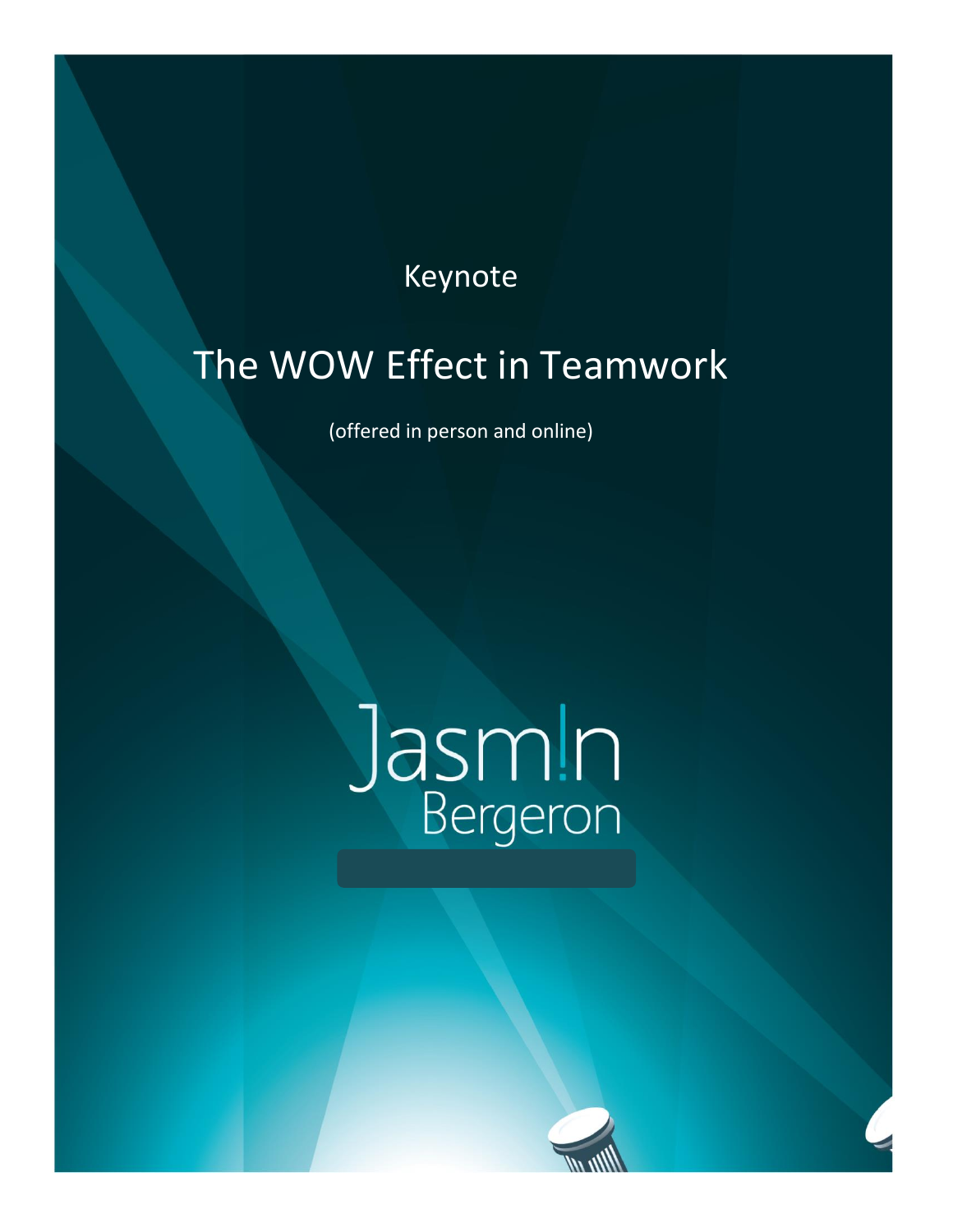## Keynote

# The WOW Effect in Teamwork

(offered in person and online)

# Jasm!n

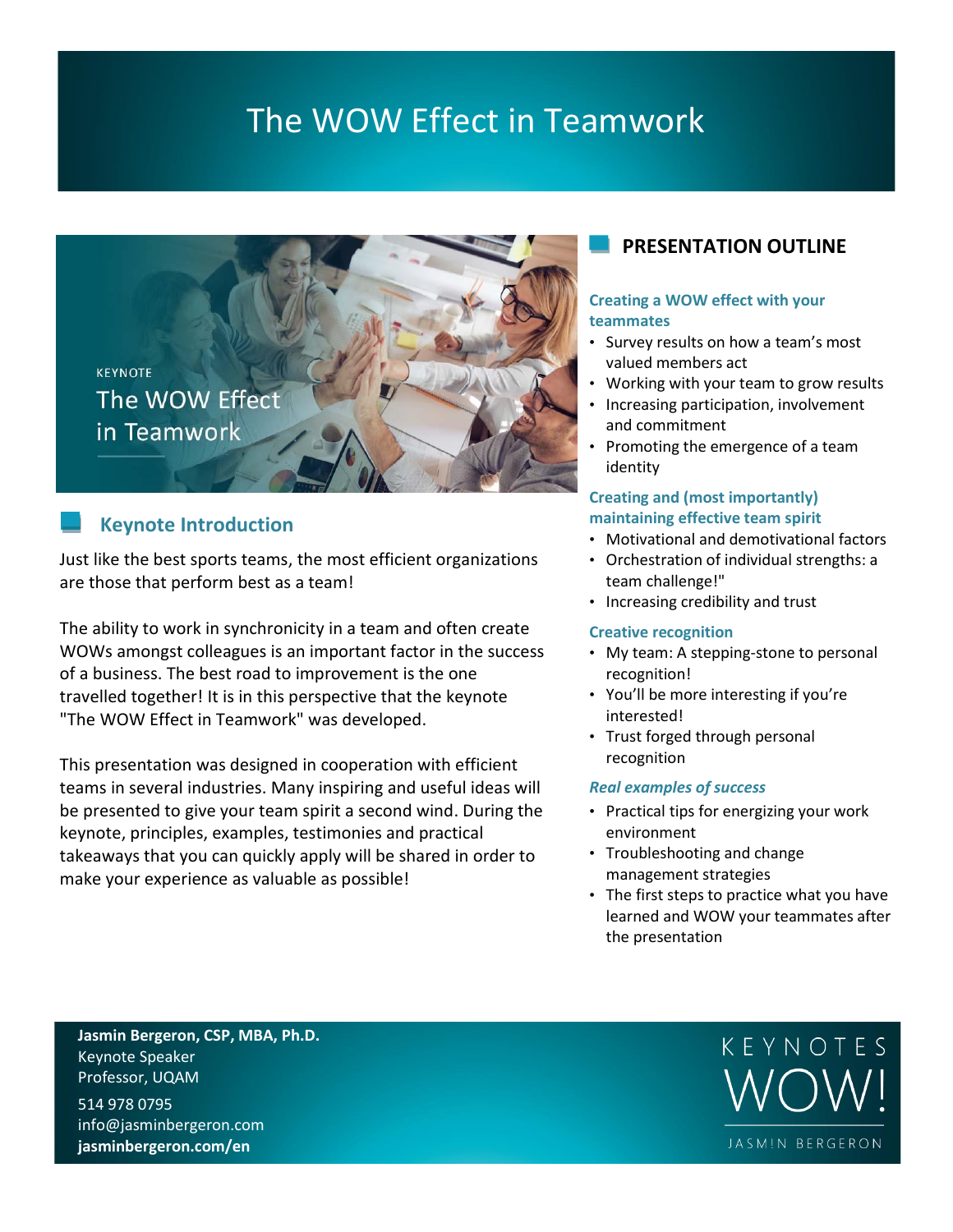## The WOW Effect in Teamwork



#### **Keynote Introduction**

Just like the best sports teams, the most efficient organizations are those that perform best as a team!

The ability to work in synchronicity in a team and often create WOWs amongst colleagues is an important factor in the success of a business. The best road to improvement is the one travelled together! It is in this perspective that the keynote "The WOW Effect in Teamwork" was developed.

This presentation was designed in cooperation with efficient teams in several industries. Many inspiring and useful ideas will be presented to give your team spirit a second wind. During the keynote, principles, examples, testimonies and practical takeaways that you can quickly apply will be shared in order to make your experience as valuable as possible!

#### **PRESENTATION OUTLINE**

#### **Creating a WOW effect with your teammates**

- Survey results on how a team's most valued members act
- Working with your team to grow results
- Increasing participation, involvement and commitment
- Promoting the emergence of a team identity

#### **Creating and (most importantly) maintaining effective team spirit**

- Motivational and demotivational factors
- Orchestration of individual strengths: a team challenge!"
- Increasing credibility and trust

#### **Creative recognition**

- My team: A stepping-stone to personal recognition!
- You'll be more interesting if you're interested!
- Trust forged through personal recognition

#### *Real examples of success*

- Practical tips for energizing your work environment
- Troubleshooting and change management strategies
- The first steps to practice what you have learned and WOW your teammates after the presentation

**Jasmin Bergeron, CSP, MBA, Ph.D.** Keynote Speaker Professor, UQAM

514 978 0795 info@jasminbergeron.com **jasminbergeron.com/en**